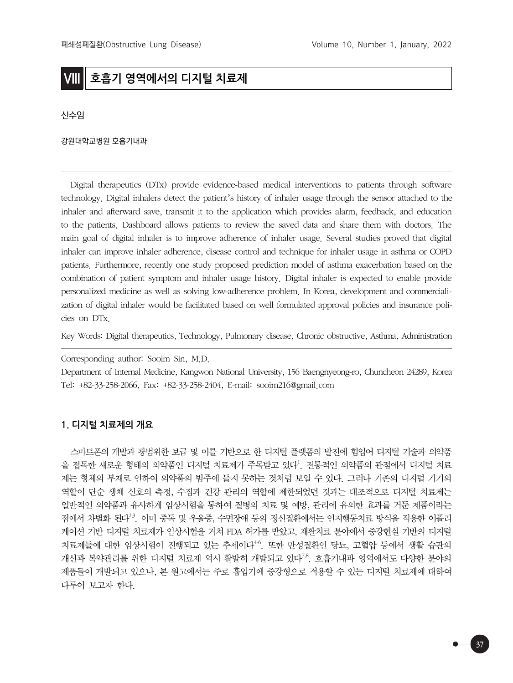# **VIII 호흡기 영역에서의 디지털 치료제**

신수임

강원대학교병원 호흡기내과

Digital therapeutics (DTx) provide evidence-based medical interventions to patients through software technology. Digital inhalers detect the patient's history of inhaler usage through the sensor attached to the inhaler and afterward save, transmit it to the application which provides alarm, feedback, and education to the patients. Dashboard allows patients to review the saved data and share them with doctors. The main goal of digital inhaler is to improve adherence of inhaler usage. Several studies proved that digital inhaler can improve inhaler adherence, disease control and technique for inhaler usage in asthma or COPD patients. Furthermore, recently one study proposed prediction model of asthma exacerbation based on the combination of patient symptom and inhaler usage history. Digital inhaler is expected to enable provide personalized medicine as well as solving low-adherence problem. In Korea, development and commercialization of digital inhaler would be facilitated based on well formulated approval policies and insurance policies on DTx.

Key Words: Digital therapeutics, Technology, Pulmonary disease, Chronic obstructive, Asthma, Administration

Corresponding author: Sooim Sin, M.D.

Department of Internal Medicine, Kangwon National University, 156 Baengnyeong-ro, Chuncheon 24289, Korea Tel: +82-33-258-2066, Fax: +82-33-258-2404, E-mail: sooim216@gmail.com

### **1. 디지털 치료제의 개요**

스마트폰의 개발과 광범위한 보급 및 이를 기반으로 한 디지털 플랫폼의 발전에 힘입어 디지털 기술과 의약품 을 접목한 새로운 형태의 의약품인 디지털 치료제가 주목받고 있다<sup>1</sup>. 전통적인 의약품의 관점에서 디지털 치료 제는 형체의 부재로 인하여 의약품의 범주에 들지 못하는 것처럼 보일 수 있다. 그러나 기존의 디지털 기기의 역할이 단순 생체 신호의 측정, 수집과 건강 관리의 역할에 제한되었던 것과는 대조적으로 디지털 치료제는 일반적인 의약품과 유사하게 임상시험을 통하여 질병의 치료 및 예방, 관리에 유의한 효과를 거둔 제품이라는 점에서 차별화 된다<sup>23</sup>. 이미 중독 및 우울증, 수면장애 등의 정신질환에서는 인지행동치료 방식을 적용한 어플리 케이션 기반 디지털 치료제가 임상시험을 거쳐 FDA 허가를 받았고, 재활치료 분야에서 증강현실 기반의 디지털 치료제들에 대한 임상시험이 진행되고 있는 추세이다<sup>46</sup>. 또한 만성질환인 당뇨, 고혈압 등에서 생활 습관의 개선과 복약관리를 위한 디지털 치료제 역시 활발히 개발되고 있다<sup>7,8</sup>. 호흡기내과 영역에서도 다양한 분야의 제품들이 개발되고 있으나, 본 원고에서는 주로 흡입기에 증강형으로 적용할 수 있는 디지털 치료제에 대하여 다루어 보고자 한다.

37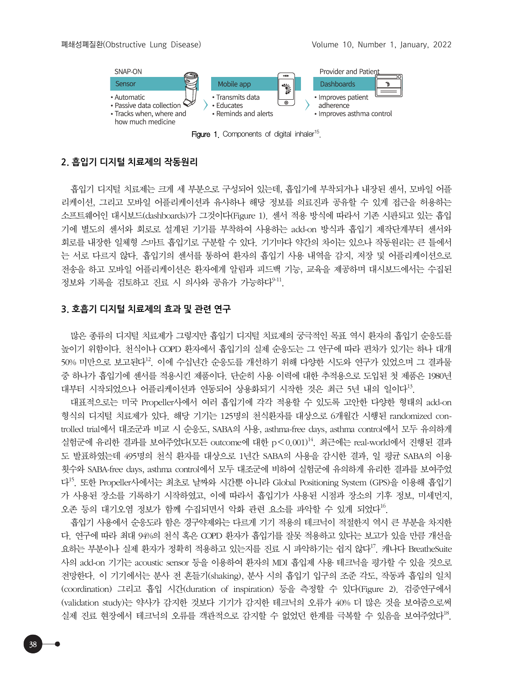

Figure 1. Components of digital inhaler<sup>15</sup>.

## **2. 흡입기 디지털 치료제의 작동원리**

흡입기 디지털 치료제는 크게 세 부분으로 구성되어 있는데, 흡입기에 부착되거나 내장된 센서, 모바일 어플 리케이션, 그리고 모바일 어플리케이션과 유사하나 해당 정보를 의료진과 공유할 수 있게 접근을 허용하는 소프트웨어인 대시보드(dashboards)가 그것이다(Figure 1). 센서 적용 방식에 따라서 기존 시판되고 있는 흡입 기에 별도의 센서와 회로로 설계된 기기를 부착하여 사용하는 add-on 방식과 흡입기 제작단계부터 센서와 회로를 내장한 일체형 스마트 흡입기로 구분할 수 있다. 기기마다 약간의 차이는 있으나 작동원리는 큰 틀에서 는 서로 다르지 않다. 흡입기의 센서를 통하여 환자의 흡입기 사용 내역을 감지, 저장 및 어플리케이션으로 전송을 하고 모바일 어플리케이션은 환자에게 알림과 피드백 기능, 교육을 제공하며 대시보드에서는 수집된 정보와 기록을 검토하고 진료 시 의사와 공유가 가능하다<sup>9-11</sup>.

### **3. 호흡기 디지털 치료제의 효과 및 관련 연구**

많은 종류의 디지털 치료제가 그렇지만 흡입기 디지털 치료제의 궁극적인 목표 역시 환자의 흡입기 순응도를 높이기 위함이다. 천식이나 COPD 환자에서 흡입기의 실제 순응도는 그 연구에 따라 편차가 있기는 하나 대개 50% 미만으로 보고된다<sup>12</sup>. 이에 수십년간 순응도를 개선하기 위해 다양한 시도와 연구가 있었으며 그 결과물 중 하나가 흡입기에 센서를 적용시킨 제품이다. 단순히 사용 이력에 대한 추적용으로 도입된 첫 제품은 1980년 대부터 시작되었으나 어플리케이션과 연동되어 상용화되기 시작한 것은 최근 5년 내의 일이다<sup>13</sup>.

대표적으로는 미국 Propeller사에서 여러 흡입기에 각각 적용할 수 있도록 고안한 다양한 형태의 add-on 형식의 디지털 치료제가 있다. 해당 기기는 125명의 천식환자를 대상으로 6개월간 시행된 randomized controlled trial에서 대조군과 비교 시 순응도, SABA의 사용, asthma-free days, asthma control에서 모두 유의하게 실험군에 유리한 결과를 보여주었다(모든 outcome에 대한 p<0.001)14. 최근에는 real-world에서 진행된 결과 도 발표하였는데 495명의 천식 환자를 대상으로 1년간 SABA의 사용을 감시한 결과, 일 평균 SABA의 이용 횟수와 SABA-free days, asthma control에서 모두 대조군에 비하여 실험군에 유의하게 유리한 결과를 보여주었 다15. 또한 Propeller사에서는 최초로 날짜와 시간뿐 아니라 Global Positioning System (GPS)을 이용해 흡입기 가 사용된 장소를 기록하기 시작하였고, 이에 따라서 흡입기가 사용된 시점과 장소의 기후 정보, 미세먼지, 오존 등의 대기오염 정보가 함께 수집되면서 악화 관련 요소를 파악할 수 있게 되었다<sup>16</sup>.

흡입기 사용에서 순응도라 함은 경구약제와는 다르게 기기 적용의 테크닉이 적절한지 역시 큰 부분을 차지한 다. 연구에 따라 최대 94%의 천식 혹은 COPD 환자가 흡입기를 잘못 적용하고 있다는 보고가 있을 만큼 개선을 요하는 부분이나 실제 환자가 정확히 적용하고 있는지를 진료 시 파악하기는 쉽지 않다<sup>17</sup>. 캐나다 BreatheSuite 사의 add-on 기기는 acoustic sensor 등을 이용하여 환자의 MDI 흡입제 사용 테크닉을 평가할 수 있을 것으로 전망한다. 이 기기에서는 분사 전 흔들기(shaking), 분사 시의 흡입기 입구의 조준 각도, 작동과 흡입의 일치 (coordination) 그리고 흡입 시간(duration of inspiration) 등을 측정할 수 있다(Figure 2). 검증연구에서 (validation study)는 약사가 감지한 것보다 기기가 감지한 테크닉의 오류가 40% 더 많은 것을 보여줌으로써 실제 진료 현장에서 테크닉의 오류를 객관적으로 감지할 수 없었던 한계를 극복할 수 있음을 보여주었다<sup>18</sup>.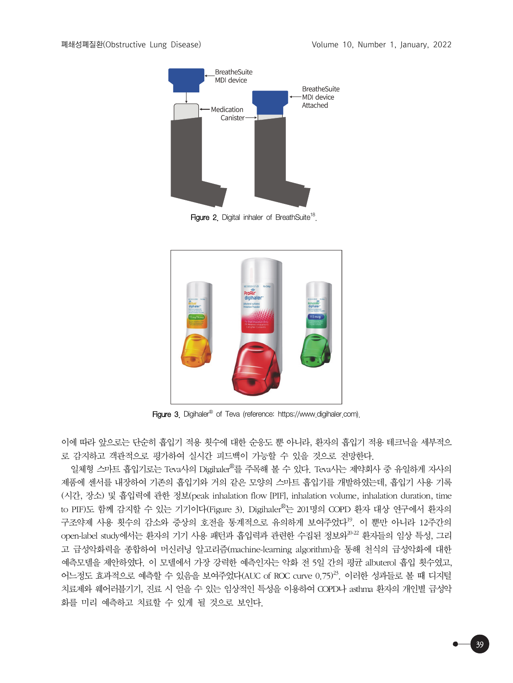

Figure 2. Digital inhaler of BreathSuite<sup>18</sup>.



Figure 3. Digihaler<sup>®</sup> of Teva (reference: https://www.digihaler.com).

이에 따라 앞으로는 단순히 흡입기 적용 횟수에 대한 순응도 뿐 아니라, 환자의 흡입기 적용 테크닉을 세부적으 로 감지하고 객관적으로 평가하여 실시간 피드백이 가능할 수 있을 것으로 전망한다.

일체형 스마트 흡입기로는 Teva사의 Digihaler®를 주목해 볼 수 있다. Teva사는 제약회사 중 유일하게 자사의 제품에 센서를 내장하여 기존의 흡입기와 거의 같은 모양의 스마트 흡입기를 개발하였는데, 흡입기 사용 기록 (시간, 장소) 및 흡입력에 관한 정보(peak inhalation flow [PIF], inhalation volume, inhalation duration, time to PIF)도 함께 감지할 수 있는 기기이다(Figure 3). Digihaler®는 201명의 COPD 환자 대상 연구에서 환자의 구조약제 사용 횟수의 감소와 증상의 호전을 통계적으로 유의하게 보여주었다<sup>19</sup>. 이 뿐만 아니라 12주간의 open-label study에서는 환자의 기기 사용 패턴과 흡입력과 관련한 수집된 정보와<sup>20-22</sup> 환자들의 임상 특성, 그리 고 급성악화력을 종합하여 머신러닝 알고리즘(machine-learning algorithm)을 통해 천식의 급성악화에 대한 예측모델을 제안하였다. 이 모델에서 가장 강력한 예측인자는 악화 전 5일 간의 평균 albuterol 흡입 횟수였고, 어느정도 효과적으로 예측할 수 있음을 보여주었다(AUC of ROC curve  $0.75)^{23}$ . 이러한 성과들로 볼 때 디지털 치료제와 웨어러블기기, 진료 시 얻을 수 있는 임상적인 특성을 이용하여 COPD나 asthma 환자의 개인별 급성악 화를 미리 예측하고 치료할 수 있게 될 것으로 보인다.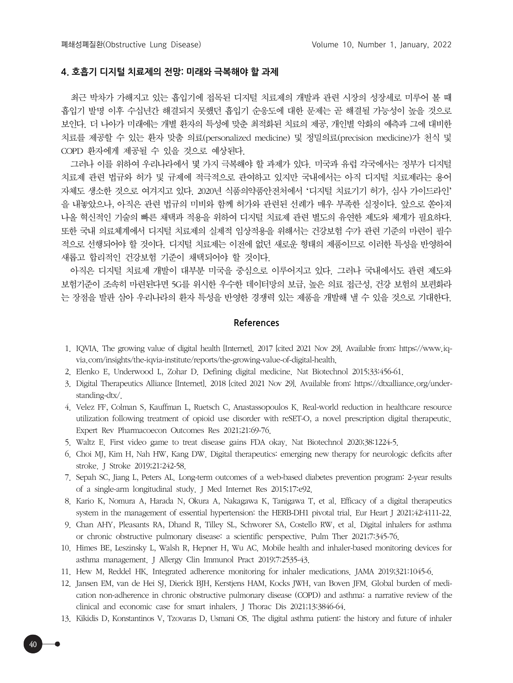#### **4. 호흡기 디지털 치료제의 전망: 미래와 극복해야 할 과제**

최근 박차가 가해지고 있는 흡입기에 접목된 디지털 치료제의 개발과 관련 시장의 성장세로 미루어 볼 때 흡입기 발명 이후 수십년간 해결되지 못했던 흡입기 순응도에 대한 문제는 곧 해결될 가능성이 높을 것으로 보인다. 더 나아가 미래에는 개별 환자의 특성에 맞춘 최적화된 치료의 제공, 개인별 악화의 예측과 그에 대비한 치료를 제공할 수 있는 환자 맞춤 의료(personalized medicine) 및 정밀의료(precision medicine)가 천식 및 COPD 환자에게 제공될 수 있을 것으로 예상된다.

그러나 이를 위하여 우리나라에서 몇 가지 극복해야 할 과제가 있다. 미국과 유럽 각국에서는 정부가 디지털 치료제 관련 법규와 허가 및 규제에 적극적으로 관여하고 있지만 국내에서는 아직 디지털 치료제라는 용어 자체도 생소한 것으로 여겨지고 있다. 2020년 식품의약품안전처에서 '디지털 치료기기 허가, 심사 가이드라인' 을 내놓았으나, 아직은 관련 법규의 미비와 함께 허가와 관련된 선례가 매우 부족한 실정이다. 앞으로 쏟아져 나올 혁신적인 기술의 빠른 채택과 적용을 위하여 디지털 치료제 관련 별도의 유연한 제도와 체계가 필요하다. 또한 국내 의료체계에서 디지털 치료제의 실제적 임상적용을 위해서는 건강보험 수가 관련 기준의 마련이 필수 적으로 선행되어야 할 것이다. 디지털 치료제는 이전에 없던 새로운 형태의 제품이므로 이러한 특성을 반영하여 새롭고 합리적인 건강보험 기준이 채택되어야 할 것이다.

아직은 디지털 치료제 개발이 대부분 미국을 중심으로 이루어지고 있다. 그러나 국내에서도 관련 제도와 보험기준이 조속히 마련된다면 5G를 위시한 우수한 데이터망의 보급, 높은 의료 접근성, 건강 보험의 보편화라 는 장점을 발판 삼아 우리나라의 환자 특성을 반영한 경쟁력 있는 제품을 개발해 낼 수 있을 것으로 기대한다.

#### **References**

- 1. IQVIA. The growing value of digital health [Internet]. 2017 [cited 2021 Nov 29]. Available from: https://www.iqvia.com/insights/the-iqvia-institute/reports/the-growing-value-of-digital-health.
- 2. Elenko E, Underwood L, Zohar D. Defining digital medicine. Nat Biotechnol 2015;33:456-61.
- 3. Digital Therapeutics Alliance [Internet]. 2018 [cited 2021 Nov 29]. Available from: https://dtxalliance.org/understanding-dtx/.
- 4. Velez FF, Colman S, Kauffman L, Ruetsch C, Anastassopoulos K. Real-world reduction in healthcare resource utilization following treatment of opioid use disorder with reSET-O, a novel prescription digital therapeutic. Expert Rev Pharmacoecon Outcomes Res 2021;21:69-76.
- 5. Waltz E. First video game to treat disease gains FDA okay. Nat Biotechnol 2020;38:1224-5.
- 6. Choi MJ, Kim H, Nah HW, Kang DW. Digital therapeutics: emerging new therapy for neurologic deficits after stroke. J Stroke 2019;21:242-58.
- 7. Sepah SC, Jiang L, Peters AL. Long-term outcomes of a web-based diabetes prevention program: 2-year results of a single-arm longitudinal study. J Med Internet Res 2015;17:e92.
- 8. Kario K, Nomura A, Harada N, Okura A, Nakagawa K, Tanigawa T, et al. Efficacy of a digital therapeutics system in the management of essential hypertension: the HERB-DH1 pivotal trial. Eur Heart J 2021;42:4111-22.
- 9. Chan AHY, Pleasants RA, Dhand R, Tilley SL, Schworer SA, Costello RW, et al. Digital inhalers for asthma or chronic obstructive pulmonary disease: a scientific perspective. Pulm Ther 2021;7:345-76.
- 10. Himes BE, Leszinsky L, Walsh R, Hepner H, Wu AC. Mobile health and inhaler-based monitoring devices for asthma management. J Allergy Clin Immunol Pract 2019;7:2535-43.
- 11. Hew M, Reddel HK. Integrated adherence monitoring for inhaler medications. JAMA 2019;321:1045-6.
- 12. Jansen EM, van de Hei SJ, Dierick BJH, Kerstjens HAM, Kocks JWH, van Boven JFM. Global burden of medication non-adherence in chronic obstructive pulmonary disease (COPD) and asthma: a narrative review of the clinical and economic case for smart inhalers. J Thorac Dis 2021;13:3846-64.
- 13. Kikidis D, Konstantinos V, Tzovaras D, Usmani OS. The digital asthma patient: the history and future of inhaler

40